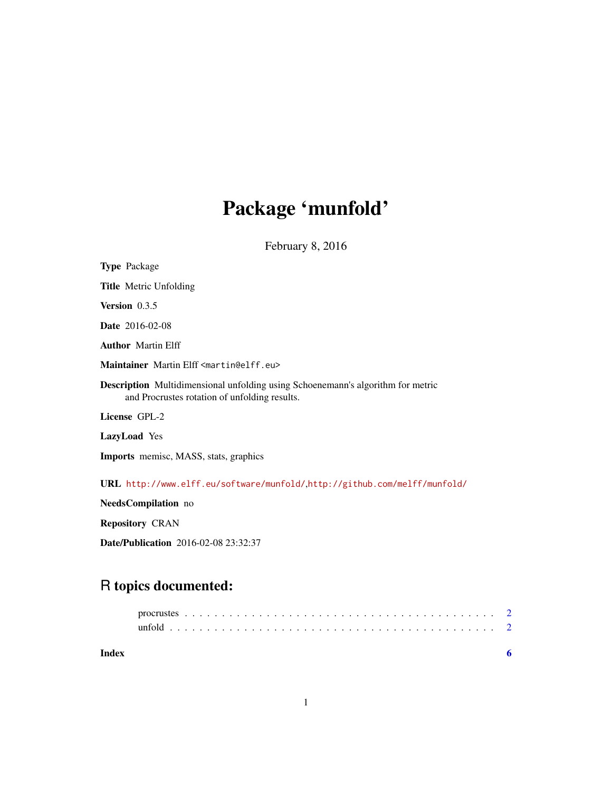# Package 'munfold'

February 8, 2016

<span id="page-0-0"></span>

Repository CRAN

Date/Publication 2016-02-08 23:32:37

# R topics documented:

**Index** [6](#page-5-0) **6**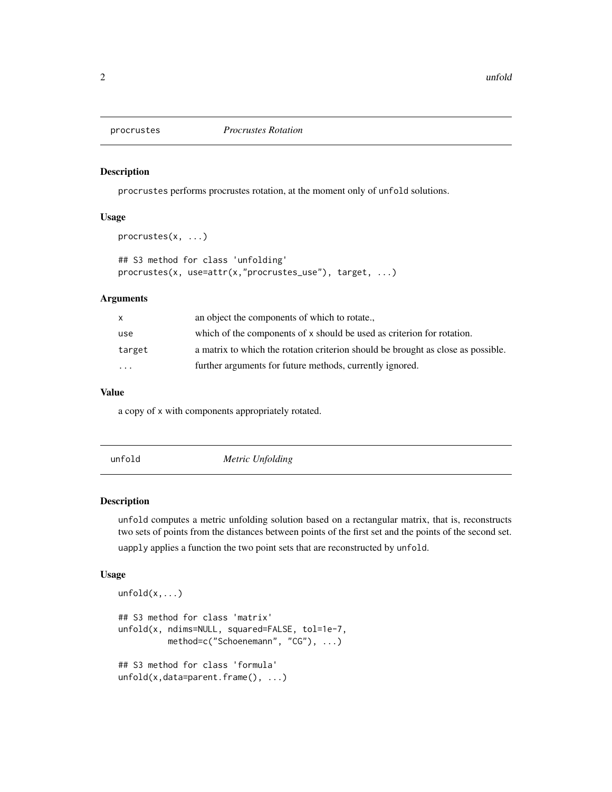<span id="page-1-0"></span>

procrustes(x, ...)

#### Description

procrustes performs procrustes rotation, at the moment only of unfold solutions.

#### Usage

```
## S3 method for class 'unfolding'
procrustes(x, use=attr(x,"procrustes_use"), target, ...)
```
#### Arguments

|           | an object the components of which to rotate                                      |
|-----------|----------------------------------------------------------------------------------|
| use       | which of the components of x should be used as criterion for rotation.           |
| target    | a matrix to which the rotation criterion should be brought as close as possible. |
| $\ddotsc$ | further arguments for future methods, currently ignored.                         |

#### Value

a copy of x with components appropriately rotated.

unfold *Metric Unfolding*

#### Description

unfold computes a metric unfolding solution based on a rectangular matrix, that is, reconstructs two sets of points from the distances between points of the first set and the points of the second set. uapply applies a function the two point sets that are reconstructed by unfold.

#### Usage

```
unfold(x, \ldots)## S3 method for class 'matrix'
unfold(x, ndims=NULL, squared=FALSE, tol=1e-7,
          method=c("Schoenemann", "CG"), ...)
## S3 method for class 'formula'
unfold(x,data=parent.frame(), ...)
```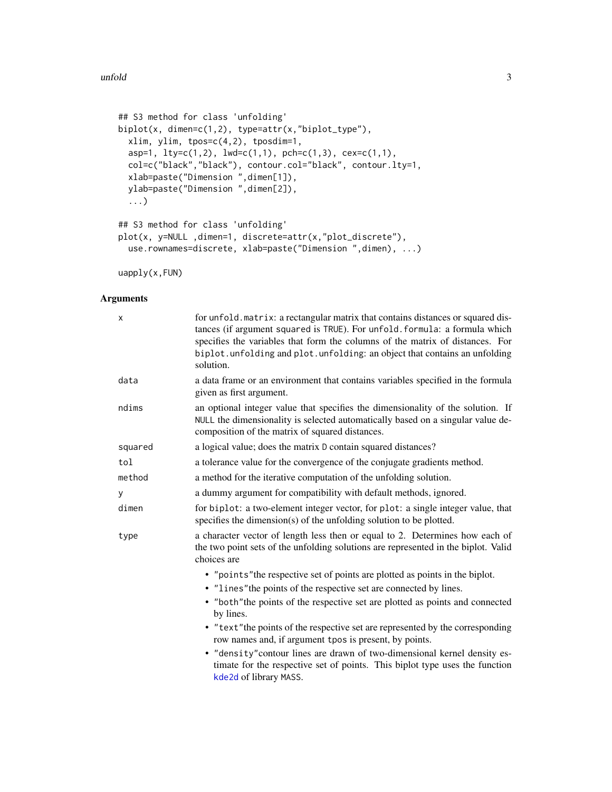#### <span id="page-2-0"></span> $\blacksquare$  and  $\blacksquare$  3

```
## S3 method for class 'unfolding'
biplot(x, dimen=c(1,2), type=attr(x,"biplot_type"),
 xlim, ylim, tpos=c(4,2), tposdim=1,
  asp=1, lty=c(1,2), lwd=c(1,1), pch=c(1,3), cex=c(1,1),
 col=c("black","black"), contour.col="black", contour.lty=1,
  xlab=paste("Dimension ",dimen[1]),
 ylab=paste("Dimension ",dimen[2]),
  ...)
## S3 method for class 'unfolding'
plot(x, y=NULL ,dimen=1, discrete=attr(x,"plot_discrete"),
 use.rownames=discrete, xlab=paste("Dimension ",dimen), ...)
```
uapply(x,FUN)

### Arguments

| X       | for unfold. matrix: a rectangular matrix that contains distances or squared dis-<br>tances (if argument squared is TRUE). For unfold. formula: a formula which<br>specifies the variables that form the columns of the matrix of distances. For<br>biplot. unfolding and plot. unfolding: an object that contains an unfolding<br>solution. |
|---------|---------------------------------------------------------------------------------------------------------------------------------------------------------------------------------------------------------------------------------------------------------------------------------------------------------------------------------------------|
| data    | a data frame or an environment that contains variables specified in the formula<br>given as first argument.                                                                                                                                                                                                                                 |
| ndims   | an optional integer value that specifies the dimensionality of the solution. If<br>NULL the dimensionality is selected automatically based on a singular value de-<br>composition of the matrix of squared distances.                                                                                                                       |
| squared | a logical value; does the matrix D contain squared distances?                                                                                                                                                                                                                                                                               |
| tol     | a tolerance value for the convergence of the conjugate gradients method.                                                                                                                                                                                                                                                                    |
| method  | a method for the iterative computation of the unfolding solution.                                                                                                                                                                                                                                                                           |
| У       | a dummy argument for compatibility with default methods, ignored.                                                                                                                                                                                                                                                                           |
| dimen   | for biplot: a two-element integer vector, for plot: a single integer value, that<br>specifies the dimension(s) of the unfolding solution to be plotted.                                                                                                                                                                                     |
| type    | a character vector of length less then or equal to 2. Determines how each of<br>the two point sets of the unfolding solutions are represented in the biplot. Valid<br>choices are                                                                                                                                                           |
|         | • "points" the respective set of points are plotted as points in the biplot.                                                                                                                                                                                                                                                                |
|         | • "lines" the points of the respective set are connected by lines.                                                                                                                                                                                                                                                                          |
|         | • "both" the points of the respective set are plotted as points and connected<br>by lines.                                                                                                                                                                                                                                                  |
|         | • "text" the points of the respective set are represented by the corresponding<br>row names and, if argument tpos is present, by points.                                                                                                                                                                                                    |
|         | • "density" contour lines are drawn of two-dimensional kernel density es-<br>timate for the respective set of points. This biplot type uses the function<br>kde2d of library MASS.                                                                                                                                                          |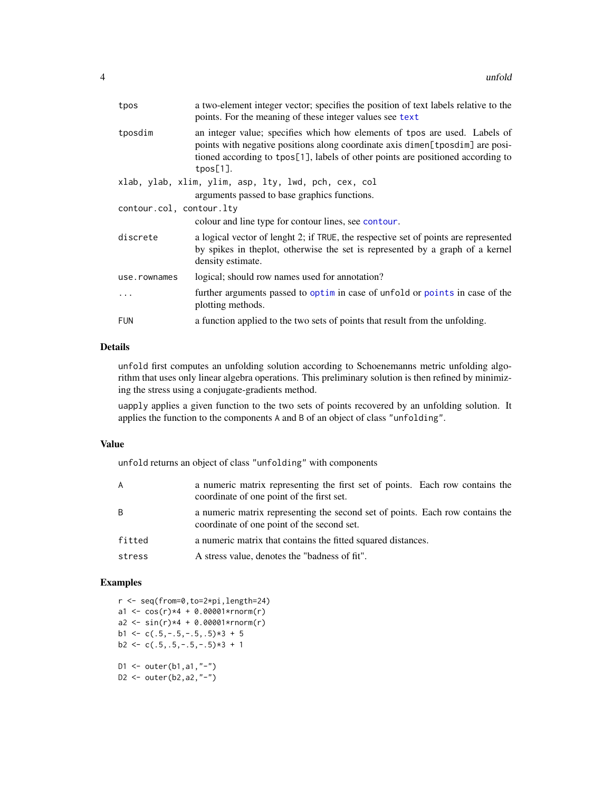<span id="page-3-0"></span>

| tposdim<br>$tpos[1]$ .<br>xlab, ylab, xlim, ylim, asp, lty, lwd, pch, cex, col<br>arguments passed to base graphics functions.<br>contour.col, contour.lty<br>colour and line type for contour lines, see contour.<br>discrete<br>density estimate.<br>logical; should row names used for annotation?<br>use.rownames<br>plotting methods.<br>a function applied to the two sets of points that result from the unfolding.<br><b>FUN</b> | tpos | a two-element integer vector; specifies the position of text labels relative to the<br>points. For the meaning of these integer values see text                                                                                                |  |  |  |  |  |  |
|------------------------------------------------------------------------------------------------------------------------------------------------------------------------------------------------------------------------------------------------------------------------------------------------------------------------------------------------------------------------------------------------------------------------------------------|------|------------------------------------------------------------------------------------------------------------------------------------------------------------------------------------------------------------------------------------------------|--|--|--|--|--|--|
|                                                                                                                                                                                                                                                                                                                                                                                                                                          |      | an integer value; specifies which how elements of tpos are used. Labels of<br>points with negative positions along coordinate axis dimen[tposdim] are posi-<br>tioned according to tpos[1], labels of other points are positioned according to |  |  |  |  |  |  |
|                                                                                                                                                                                                                                                                                                                                                                                                                                          |      |                                                                                                                                                                                                                                                |  |  |  |  |  |  |
|                                                                                                                                                                                                                                                                                                                                                                                                                                          |      |                                                                                                                                                                                                                                                |  |  |  |  |  |  |
|                                                                                                                                                                                                                                                                                                                                                                                                                                          |      |                                                                                                                                                                                                                                                |  |  |  |  |  |  |
|                                                                                                                                                                                                                                                                                                                                                                                                                                          |      |                                                                                                                                                                                                                                                |  |  |  |  |  |  |
|                                                                                                                                                                                                                                                                                                                                                                                                                                          |      | a logical vector of lenght 2; if TRUE, the respective set of points are represented<br>by spikes in the plot, otherwise the set is represented by a graph of a kernel                                                                          |  |  |  |  |  |  |
|                                                                                                                                                                                                                                                                                                                                                                                                                                          |      |                                                                                                                                                                                                                                                |  |  |  |  |  |  |
|                                                                                                                                                                                                                                                                                                                                                                                                                                          |      | further arguments passed to optim in case of unfold or points in case of the                                                                                                                                                                   |  |  |  |  |  |  |
|                                                                                                                                                                                                                                                                                                                                                                                                                                          |      |                                                                                                                                                                                                                                                |  |  |  |  |  |  |

## Details

unfold first computes an unfolding solution according to Schoenemanns metric unfolding algorithm that uses only linear algebra operations. This preliminary solution is then refined by minimizing the stress using a conjugate-gradients method.

uapply applies a given function to the two sets of points recovered by an unfolding solution. It applies the function to the components A and B of an object of class "unfolding".

#### Value

unfold returns an object of class "unfolding" with components

| A      | a numeric matrix representing the first set of points. Each row contains the<br>coordinate of one point of the first set.   |
|--------|-----------------------------------------------------------------------------------------------------------------------------|
| B      | a numeric matrix representing the second set of points. Each row contains the<br>coordinate of one point of the second set. |
| fitted | a numeric matrix that contains the fitted squared distances.                                                                |
| stress | A stress value, denotes the "badness of fit".                                                                               |

### Examples

r <- seq(from=0,to=2\*pi,length=24) a1 <-  $cos(r)*4 + 0.00001*rnorm(r)$  $a2 \le -\sin(r) \times 4 + 0.00001 \times r \cdot n \cdot (r)$ b1 <- c( $.5, -.5, -.5, .5$ )  $*3 + 5$  $b2 \leq -c(.5,.5,-.5,-.5)*3 + 1$ D1 <- outer( $b1$ ,  $a1$ , "-") D2 <- outer( $b2$ ,  $a2$ , "-")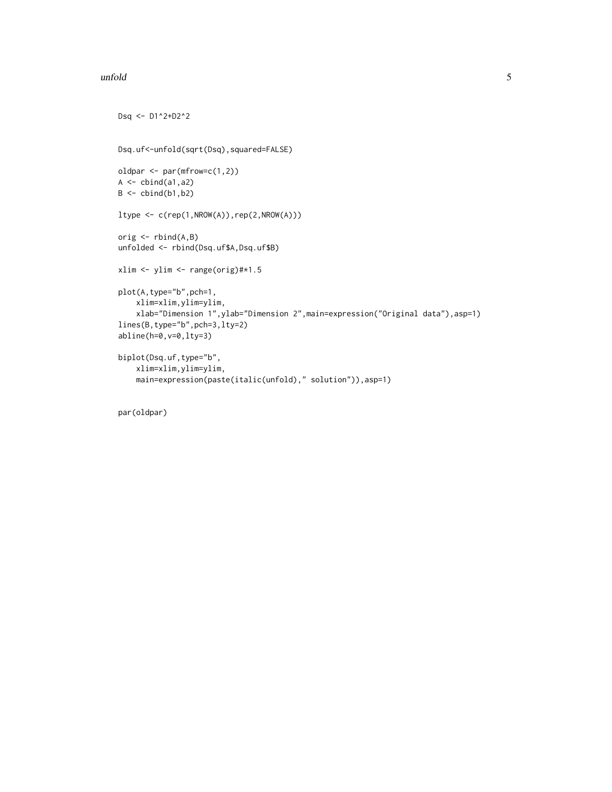#### $\blacksquare$  and  $\blacksquare$  5

```
Dsq <- D1^2+D2^2
Dsq.uf<-unfold(sqrt(Dsq),squared=FALSE)
oldpar <- par(mfrow=c(1,2))
A \leftarrow \text{cbind}(a1, a2)B \leftarrow \text{cbind}(b1, b2)ltype <- c(rep(1,NROW(A)),rep(2,NROW(A)))
orig \leq rbind(A, B)unfolded <- rbind(Dsq.uf$A,Dsq.uf$B)
xlim <- ylim <- range(orig)#*1.5
plot(A,type="b",pch=1,
    xlim=xlim,ylim=ylim,
    xlab="Dimension 1",ylab="Dimension 2",main=expression("Original data"),asp=1)
lines(B,type="b",pch=3,lty=2)
abline(h=0,v=0,lty=3)
biplot(Dsq.uf,type="b",
    xlim=xlim,ylim=ylim,
    main=expression(paste(italic(unfold)," solution")),asp=1)
```
par(oldpar)